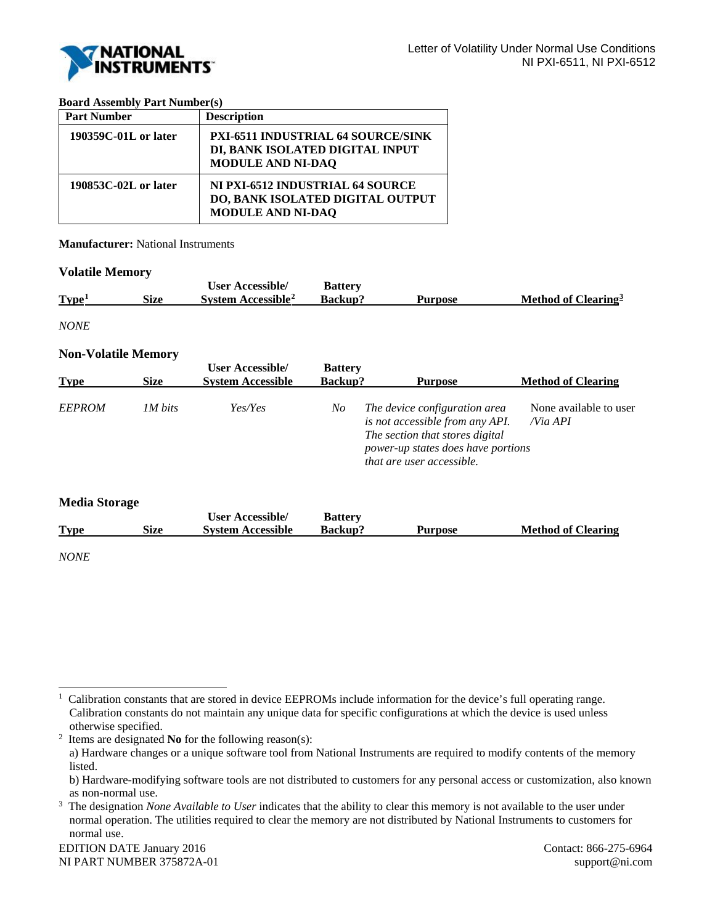

## **Board Assembly Part Number(s)**

| <b>Part Number</b>   | <b>Description</b>                                                                                |
|----------------------|---------------------------------------------------------------------------------------------------|
| 190359C-01L or later | PXI-6511 INDUSTRIAL 64 SOURCE/SINK<br>DI, BANK ISOLATED DIGITAL INPUT<br><b>MODULE AND NI-DAQ</b> |
| 190853C-02L or later | NI PXI-6512 INDUSTRIAL 64 SOURCE<br>DO, BANK ISOLATED DIGITAL OUTPUT<br><b>MODULE AND NI-DAQ</b>  |

**Manufacturer:** National Instruments

## **Volatile Memory**

|                   |             | <b>User Accessible/</b>        | <b>Battery</b> |         |                                 |
|-------------------|-------------|--------------------------------|----------------|---------|---------------------------------|
| Type <sup>1</sup> | <b>Size</b> | System Accessible <sup>2</sup> | <b>Backup?</b> | Purpose | Method of Clearing <sup>3</sup> |
|                   |             |                                |                |         |                                 |

*NONE*

## **Non-Volatile Memory**

| <b>Type</b>   | <b>Size</b>    | <b>User Accessible/</b><br><b>System Accessible</b> | <b>Battery</b><br>Backup? | <b>Purpose</b>                                                                                                                                                         | <b>Method of Clearing</b>            |
|---------------|----------------|-----------------------------------------------------|---------------------------|------------------------------------------------------------------------------------------------------------------------------------------------------------------------|--------------------------------------|
| <b>EEPROM</b> | <i>IM bits</i> | Yes/Yes                                             | No                        | The device configuration area<br>is not accessible from any API.<br>The section that stores digital<br>power-up states does have portions<br>that are user accessible. | None available to user<br>$N$ ia API |

| <b>Media Storage</b> |      |                          |                |                |                           |
|----------------------|------|--------------------------|----------------|----------------|---------------------------|
|                      |      | <b>User Accessible/</b>  | <b>Battery</b> |                |                           |
| <b>Type</b>          | Size | <b>System Accessible</b> | Backup?        | <b>Purpose</b> | <b>Method of Clearing</b> |
| <b>NONE</b>          |      |                          |                |                |                           |

EDITION DATE January 2016 Contact: 866-275-6964 NI PART NUMBER 375872A-01 support@ni.com

<span id="page-0-0"></span><sup>|&</sup>lt;br>|<br>|  $\mathbf{1}$  Calibration constants that are stored in device EEPROMs include information for the device's full operating range. Calibration constants do not maintain any unique data for specific configurations at which the device is used unless otherwise specified.

<span id="page-0-1"></span><sup>2</sup> Items are designated **No** for the following reason(s):

a) Hardware changes or a unique software tool from National Instruments are required to modify contents of the memory listed.

b) Hardware-modifying software tools are not distributed to customers for any personal access or customization, also known as non-normal use.

<span id="page-0-2"></span><sup>&</sup>lt;sup>3</sup> The designation *None Available to User* indicates that the ability to clear this memory is not available to the user under normal operation. The utilities required to clear the memory are not distributed by National Instruments to customers for normal use.